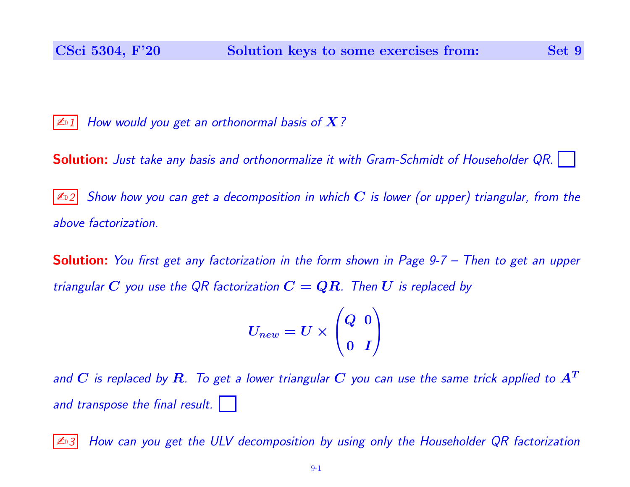$\mathbb{Z}$  1 How would you get an orthonormal basis of X?

**Solution:** Just take any basis and orthonormalize it with Gram-Schmidt of Householder QR.

Show how you can get a decomposition in which C is lower (or upper) triangular, from the above factorization.

**Solution:** You first get any factorization in the form shown in Page 9-7 – Then to get an upper triangular C you use the QR factorization  $C = QR$ . Then U is replaced by

> $U_{new} = U \times$  $\sqrt{ }$  $\overline{ }$ Q 0 0 I  $\setminus$  $\overline{\phantom{a}}$

and  $C$  is replaced by  $R$ . To get a lower triangular  $C$  you can use the same trick applied to  $A^T$ and transpose the final result.

 $\mathbb{Z}$ 3 How can you get the ULV decomposition by using only the Householder QR factorization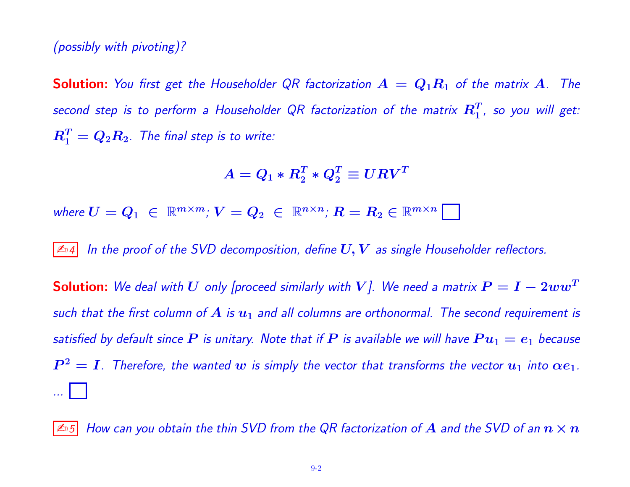## (possibly with pivoting)?

**Solution:** You first get the Householder QR factorization  $A = Q_1R_1$  of the matrix A. The second step is to perform a Householder QR factorization of the matrix  $\boldsymbol{R}_1^T$ , so you will get:  $R_1^T=Q_2R_2$ . The final step is to write:

$$
A=Q_1 * R_2^T * Q_2^T \equiv U R V^T
$$

where  $U = Q_1 \in \mathbb{R}^{m \times m}$ ;  $V = Q_2 \in \mathbb{R}^{n \times n}$ ;  $R = R_2 \in \mathbb{R}^{m \times n}$ 

 $\mathbb{Z}$  In the proof of the SVD decomposition, define  $U, V$  as single Householder reflectors.

**Solution:** We deal with  $U$  only [proceed similarly with  $V$ ]. We need a matrix  $P = I - 2ww^T$ such that the first column of A is  $u_1$  and all columns are orthonormal. The second requirement is satisfied by default since  $P$  is unitary. Note that if  $P$  is available we will have  $Pu_1 = e_1$  because  $\boldsymbol{P}^2 = \boldsymbol{I}$ . Therefore, the wanted  $\boldsymbol{w}$  is simply the vector that transforms the vector  $\boldsymbol{u}_1$  into  $\boldsymbol{\alpha e}_1$ . ...

 $|\mathbb{A}_5|$  How can you obtain the thin SVD from the QR factorization of  $A$  and the SVD of an  $n\times n$